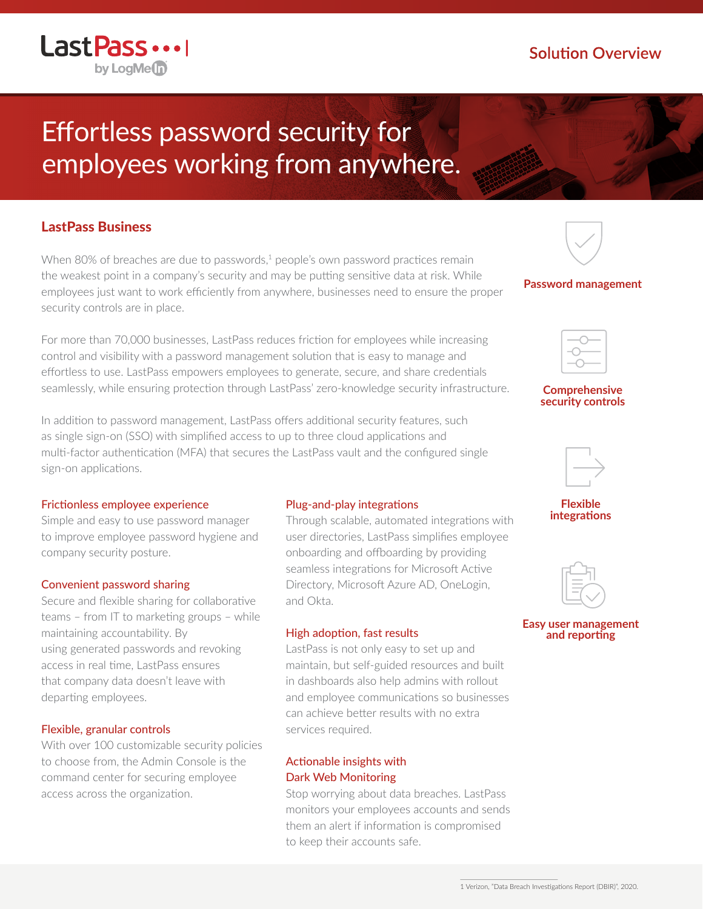# Effortless password security for employees working from anywhere.

## LastPass Business

Last Pass ...

by LogMe(n)

When 80% of breaches are due to passwords, $1$  people's own password practices remain the weakest point in a company's security and may be putting sensitive data at risk. While employees just want to work efficiently from anywhere, businesses need to ensure the proper security controls are in place.

For more than 70,000 businesses, LastPass reduces friction for employees while increasing control and visibility with a password management solution that is easy to manage and effortless to use. LastPass empowers employees to generate, secure, and share credentials seamlessly, while ensuring protection through LastPass' zero-knowledge security infrastructure.

In addition to password management, LastPass offers additional security features, such as single sign-on (SSO) with simplified access to up to three cloud applications and multi-factor authentication (MFA) that secures the LastPass vault and the configured single sign-on applications.

#### Frictionless employee experience

Simple and easy to use password manager to improve employee password hygiene and company security posture.

#### Convenient password sharing

Secure and flexible sharing for collaborative teams – from IT to marketing groups – while maintaining accountability. By using generated passwords and revoking access in real time, LastPass ensures that company data doesn't leave with departing employees.

#### Flexible, granular controls

With over 100 customizable security policies to choose from, the Admin Console is the command center for securing employee access across the organization.

#### Plug-and-play integrations

Through scalable, automated integrations with user directories, LastPass simplifies employee onboarding and offboarding by providing seamless integrations for Microsoft Active Directory, Microsoft Azure AD, OneLogin, and Okta.

#### High adoption, fast results

LastPass is not only easy to set up and maintain, but self-guided resources and built in dashboards also help admins with rollout and employee communications so businesses can achieve better results with no extra services required.

### Actionable insights with Dark Web Monitoring

Stop worrying about data breaches. LastPass monitors your employees accounts and sends them an alert if information is compromised to keep their accounts safe.

#### **Password management**



#### **Comprehensive security controls**



**Flexible integrations**



**Easy user management and reporting**